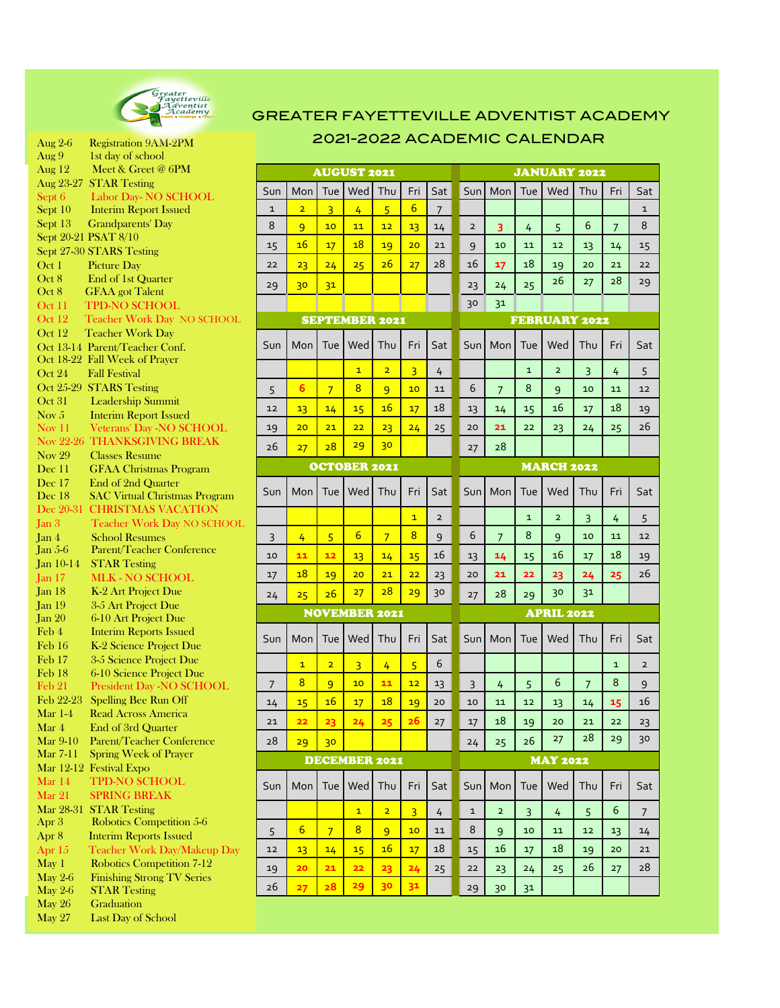

| Aug 2-6                    | <b>Registration 9AM-2PM</b>          |
|----------------------------|--------------------------------------|
| Aug 9                      | 1st day of school                    |
|                            |                                      |
| Aug $12$                   | Meet & Greet @ 6PM                   |
| Aug 23-27                  | <b>STAR Testing</b>                  |
| Sept 6                     | Labor Day-NO SCHOOL                  |
| Sept 10                    | <b>Interim Report Issued</b>         |
| Sept 13                    | <b>Grandparents' Day</b>             |
|                            | Sept 20-21 PSAT 8/10                 |
|                            | Sept 27-30 STARS Testing             |
| Oct <sub>1</sub>           | Picture Day                          |
| Oct 8                      | End of 1st Quarter                   |
| Oct 8                      | <b>GFAA</b> got Talent               |
| Oct 11                     | <b>TPD-NO SCHOOL</b>                 |
| Oct 12                     | Teacher Work Day NO SCHOOL           |
| Oct 12                     | <b>Teacher Work Day</b>              |
| Oct 13-14                  |                                      |
|                            | Parent/Teacher Conf.                 |
| Oct 18-22                  | Fall Week of Prayer                  |
| Oct 24                     | <b>Fall Festival</b>                 |
| Oct 25-29                  | <b>STARS Testing</b>                 |
| Oct 31                     | <b>Leadership Summit</b>             |
| Nov $5$                    | <b>Interim Report Issued</b>         |
| $\overline{\text{Nov }11}$ | Veterans' Day -NO SCHOOL             |
|                            | Nov 22-26 THANKSGIVING BREAK         |
| Nov $29$                   | <b>Classes Resume</b>                |
| Dec 11                     | <b>GFAA Christmas Program</b>        |
| Dec 17                     | End of 2nd Quarter                   |
| Dec 18                     | <b>SAC Virtual Christmas Program</b> |
| Dec 20-31                  | <b>CHRISTMAS VACATION</b>            |
| Jan 3                      | Teacher Work Day NO SCHOOL           |
| Jan 4                      | <b>School Resumes</b>                |
| Jan $5-6$                  | Parent/Teacher Conference            |
|                            |                                      |
| Jan 10-14                  | <b>STAR Testing</b>                  |
| Jan 17                     | <b>MLK - NO SCHOOL</b>               |
| Jan <sub>18</sub>          | K-2 Art Project Due                  |
| Jan <sub>19</sub>          | 3-5 Art Project Due                  |
| <b>Jan 20</b>              | 6-10 Art Project Due                 |
| Feb 4                      | <b>Interim Reports Issued</b>        |
| Feb 16                     | K-2 Science Project Due              |
| Feb 17                     | 3-5 Science Project Due              |
| Feb 18                     | 6-10 Science Project Due             |
| Feb 21                     | President Day -NO SCHOOL             |
| Feb 22-23                  | Spelling Bee Run Off                 |
| Mar 1-4                    | <b>Read Across America</b>           |
| Mar 4                      | End of 3rd Quarter                   |
| Mar 9-10                   | <b>Parent/Teacher Conference</b>     |
| Mar 7-11                   | Spring Week of Prayer                |
| Mar 12-12                  |                                      |
|                            | <b>Festival Expo</b>                 |
| Mar 14                     | <b>TPD-NO SCHOOL</b>                 |
| Mar 21                     | <b>SPRING BREAK</b>                  |
| Mar 28-31                  | <b>STAR Testing</b>                  |
| Apr 3                      | Robotics Competition 5-6             |
| Apr 8                      | <b>Interim Reports Issued</b>        |
| $\rm{Apr}\ 15$             | Teacher Work Day/Makeup Day          |
| May 1                      | <b>Robotics Competition 7-12</b>     |
| <b>May 2-6</b>             | <b>Finishing Strong TV Series</b>    |
| May $2-6$                  | <b>STAR Testing</b>                  |
| May 26                     | Graduation                           |
| <b>May 27</b>              | Last Day of School                   |
|                            |                                      |

## $\left\{\begin{matrix} \mathcal{G}_{\mathit{F}} \ \mathcal{G}_{\mathit{H}} \ \mathcal{G}_{\mathit{H}} \ \mathcal{G}_{\mathit{H}} \ \mathcal{G}_{\mathit{H}} \ \mathcal{G}_{\mathit{H}} \ \mathcal{G}_{\mathit{H}} \ \mathcal{G}_{\mathit{H}} \ \mathcal{G}_{\mathit{H}} \ \mathcal{G}_{\mathit{H}} \ \mathcal{G}_{\mathit{H}} \ \mathcal{G}_{\mathit{H}} \ \mathcal{G}_{\mathit{H}} \end{matrix} \right\}$  GREATER FAYETTEVILLE ADVENTIST AC 2021-2022 ACADEMIC CALENDAR

| <b>AUGUST 2021</b>    |                 |                |                |                |                 | <b>JANUARY 2022</b>  |              |                         |              |                |     |                |                |
|-----------------------|-----------------|----------------|----------------|----------------|-----------------|----------------------|--------------|-------------------------|--------------|----------------|-----|----------------|----------------|
| Sun                   | Mon             | Tue            | Wed            | Thu            | Fri             | Sat                  | Sun          | Mon                     | Tue          | Wed            | Thu | Fri            | Sat            |
| 1                     | $\overline{a}$  | $\overline{3}$ | 4              | 5              | $6\overline{6}$ | $\overline{7}$       |              |                         |              |                |     |                | $\mathbf 1$    |
| 8                     | 9               | 10             | 11             | 12             | 13              | 14                   | $\mathbf 2$  | 3                       | 4            | 5              | 6   | $\overline{7}$ | 8              |
| 15                    | 16              | 17             | 18             | 19             | 20              | 21                   | 9            | 10                      | 11           | 12             | 13  | 14             | 15             |
| 22                    | 23              | 24             | 25             | 26             | 27              | 28                   | 16           | 17                      | 18           | 19             | 20  | 21             | 22             |
| 29                    | 30              | 3 <sup>1</sup> |                |                |                 |                      | 23           | 24                      | 25           | 26             | 27  | 28             | 29             |
|                       |                 |                |                |                |                 |                      | 30           | 31                      |              |                |     |                |                |
| <b>SEPTEMBER 2021</b> |                 |                |                |                |                 | <b>FEBRUARY 2022</b> |              |                         |              |                |     |                |                |
| Sun                   | Mon             | Tue            | Wed            | Thu            | Fri             | Sat                  | Sun          | Mon                     | Tue          | Wed            | Thu | Fri            | Sat            |
|                       |                 |                | $\mathbf{1}$   | $\overline{2}$ | 3               | 4                    |              |                         | 1            | $\overline{2}$ | 3   | 4              | 5              |
| 5                     | 6               | $\overline{7}$ | 8              | 9              | 10              | 11                   | 6            | 7                       | 8            | 9              | 10  | 11             | 12             |
| 12                    | 13              | 14             | 15             | 16             | 17              | 18                   | 13           | 14                      | 15           | 16             | 17  | 18             | 19             |
| 19                    | 20              | 21             | 22             | 23             | 24              | 25                   | 20           | 21                      | 22           | 23             | 24  | 25             | 26             |
| 26                    | 27              | 28             | 29             | 30             |                 |                      | 27           | 28                      |              |                |     |                |                |
| <b>OCTOBER 2021</b>   |                 |                |                |                |                 | <b>MARCH 2022</b>    |              |                         |              |                |     |                |                |
| Sun                   | Mon             | Tue            | Wed            | Thu            | Fri             | Sat                  | Sun          | Mon                     | Tue          | Wed            | Thu | Fri            | Sat            |
|                       |                 |                |                |                | $\overline{1}$  | $\overline{2}$       |              |                         | $\mathbf{1}$ | $\overline{2}$ | 3   | 4              | 5              |
| 3                     | 4               | 5              | 6              | $\overline{7}$ | 8               | 9                    | 6            | 7                       | 8            | 9              | 10  | 11             | 12             |
| 10                    | 11              | 12             | 13             | 14             | 15              | 16                   | 13           | 14                      | 15           | 16             | 17  | 18             | 19             |
| 17                    | 18              | 19             | 20             | 21             | 22              | 23                   | 20           | 21                      | 22           | 23             | 24  | 25             | 26             |
| 24                    | 25              | 26             | 27             | 28             | 29              | 30                   | 27           | 28                      | 29           | 30             | 31  |                |                |
| <b>NOVEMBER 2021</b>  |                 |                |                |                |                 | <b>APRIL 2022</b>    |              |                         |              |                |     |                |                |
| Sun                   | Mon             | Tue            | Wed            | Thu            | Fri             | Sat                  | Sun          | Mon                     | Tue          | Wed            | Thu | Fri            | Sat            |
|                       | $\mathbf{1}$    | $\overline{2}$ | 3              | 4              | 5               | 6                    |              |                         |              |                |     | $\mathbf{1}$   | $\overline{2}$ |
| $\overline{7}$        | 8               | 9              | 10             | 11             | 12              | 13                   | 3            | 4                       | 5            | 6              | 7   | 8              | 9              |
| 14                    | 15              | 16             | 17             | 18             | 19              | 20                   | 10           | 11                      | 12           | 13             | 14  | 15             | 16             |
| 21                    | 22              | 23             | 24             | 25             | 26              | 27                   | 17           | 18                      | 19           | 20             | 21  | 22             | 23             |
| 28                    | 29              | 30             |                |                |                 |                      | 24           | 25                      | 26           | 27             | 28  | 29             | 30             |
| <b>DECEMBER 2021</b>  |                 |                |                |                |                 | <b>MAY 2022</b>      |              |                         |              |                |     |                |                |
| Sun                   | Mon             | Tue            | Wed            | Thu            | Fri             | Sat                  | Sun          | Mon                     | Tue          | Wed            | Thu | Fri            | Sat            |
|                       |                 |                | $\mathbf{1}$   | $\overline{2}$ | $\overline{3}$  | 4                    | $\mathbf{1}$ | $\overline{\mathbf{c}}$ | 3            | 4              | 5   | 6              | 7              |
| 5                     | $6\overline{6}$ | $\overline{7}$ | $\overline{8}$ | 9              | 10              | 11                   | 8            | 9                       | 10           | 11             | 12  | 13             | 14             |
| 12                    | 13              | 14             | 15             | <u>16</u>      | 17              | 18                   | 15           | 16                      | 17           | 18             | 19  | 20             | 21             |
| 19                    | 20              | 21             | 22             | 23             | 24              | 25                   | 22           | 23                      | 24           | 25             | 26  | 27             | 28             |
| 26                    | 27              | 28             | 29             | 30             | 3 <sup>1</sup>  |                      | 29           | 30                      | 31           |                |     |                |                |